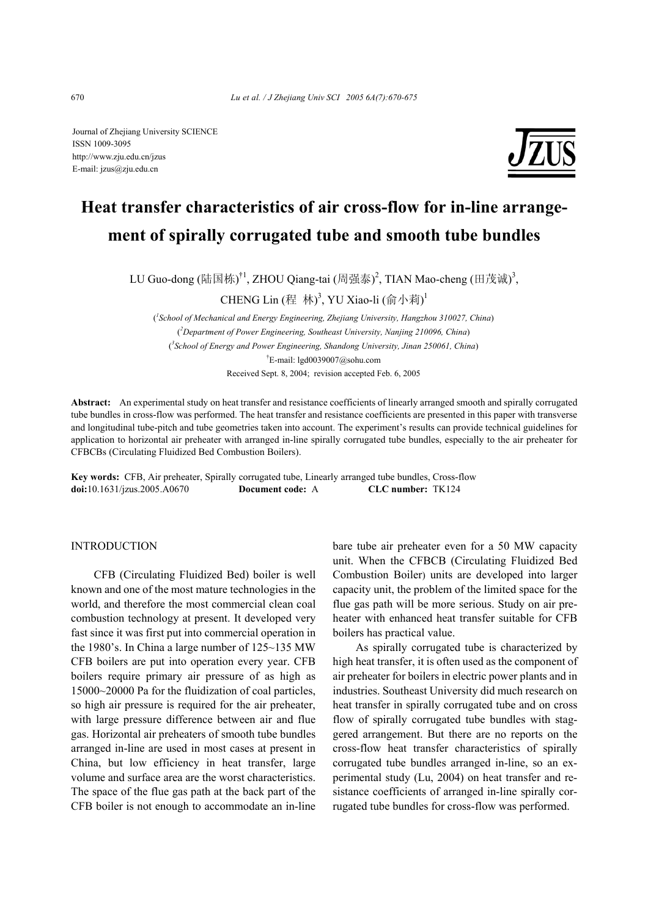Journal of Zhejiang University SCIENCE ISSN 1009-3095 http://www.zju.edu.cn/jzus E-mail: jzus@zju.edu.cn



# **Heat transfer characteristics of air cross-flow for in-line arrangement of spirally corrugated tube and smooth tube bundles**

LU Guo-dong (陆国栋)<sup>†1</sup>, ZHOU Qiang-tai (周强泰)<sup>2</sup>, TIAN Mao-cheng (田茂诚)<sup>3</sup>,

CHENG Lin (程 林)<sup>3</sup>, YU Xiao-li (俞小莉)<sup>1</sup>

( *1 School of Mechanical and Energy Engineering, Zhejiang University, Hangzhou 310027, China*) ( *2 Department of Power Engineering, Southeast University, Nanjing 210096, China*) ( *3 School of Energy and Power Engineering, Shandong University, Jinan 250061, China*) † E-mail: lgd0039007@sohu.com Received Sept. 8, 2004; revision accepted Feb. 6, 2005

**Abstract:** An experimental study on heat transfer and resistance coefficients of linearly arranged smooth and spirally corrugated tube bundles in cross-flow was performed. The heat transfer and resistance coefficients are presented in this paper with transverse and longitudinal tube-pitch and tube geometries taken into account. The experiment's results can provide technical guidelines for application to horizontal air preheater with arranged in-line spirally corrugated tube bundles, especially to the air preheater for CFBCBs (Circulating Fluidized Bed Combustion Boilers).

**Key words:** CFB, Air preheater, Spirally corrugated tube, Linearly arranged tube bundles, Cross-flow **doi:**10.1631/jzus.2005.A0670 **Document code:** A **CLC number:** TK124

# INTRODUCTION

CFB (Circulating Fluidized Bed) boiler is well known and one of the most mature technologies in the world, and therefore the most commercial clean coal combustion technology at present. It developed very fast since it was first put into commercial operation in the 1980's. In China a large number of 125~135 MW CFB boilers are put into operation every year. CFB boilers require primary air pressure of as high as 15000~20000 Pa for the fluidization of coal particles, so high air pressure is required for the air preheater, with large pressure difference between air and flue gas. Horizontal air preheaters of smooth tube bundles arranged in-line are used in most cases at present in China, but low efficiency in heat transfer, large volume and surface area are the worst characteristics. The space of the flue gas path at the back part of the CFB boiler is not enough to accommodate an in-line

bare tube air preheater even for a 50 MW capacity unit. When the CFBCB (Circulating Fluidized Bed Combustion Boiler) units are developed into larger capacity unit, the problem of the limited space for the flue gas path will be more serious. Study on air preheater with enhanced heat transfer suitable for CFB boilers has practical value.

As spirally corrugated tube is characterized by high heat transfer, it is often used as the component of air preheater for boilers in electric power plants and in industries. Southeast University did much research on heat transfer in spirally corrugated tube and on cross flow of spirally corrugated tube bundles with staggered arrangement. But there are no reports on the cross-flow heat transfer characteristics of spirally corrugated tube bundles arranged in-line, so an experimental study (Lu, 2004) on heat transfer and resistance coefficients of arranged in-line spirally corrugated tube bundles for cross-flow was performed.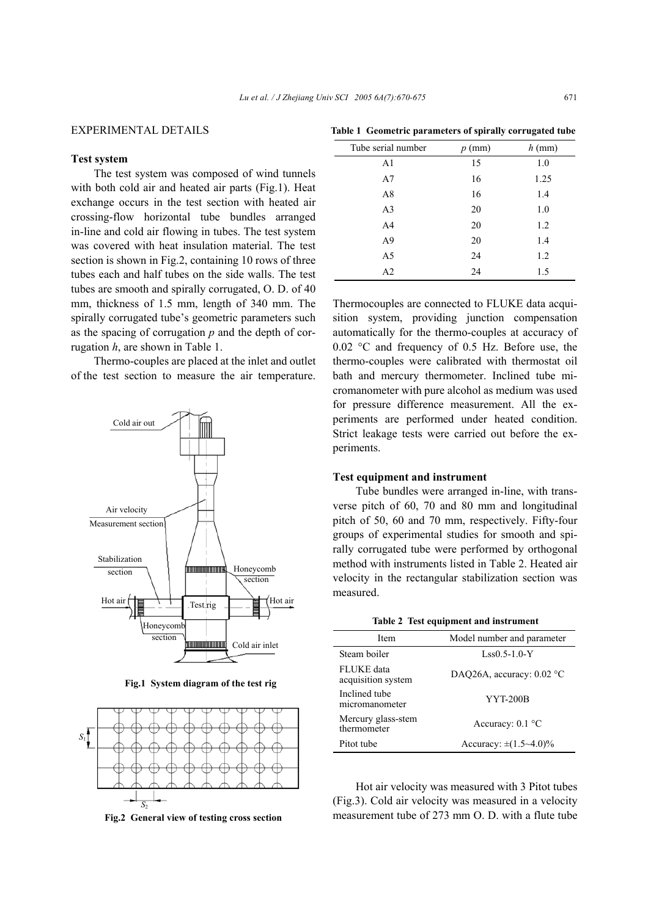# EXPERIMENTAL DETAILS

# **Test system**

The test system was composed of wind tunnels with both cold air and heated air parts (Fig.1). Heat exchange occurs in the test section with heated air crossing-flow horizontal tube bundles arranged in-line and cold air flowing in tubes. The test system was covered with heat insulation material. The test section is shown in Fig.2, containing 10 rows of three tubes each and half tubes on the side walls. The test tubes are smooth and spirally corrugated, O. D. of 40 mm, thickness of 1.5 mm, length of 340 mm. The spirally corrugated tube's geometric parameters such as the spacing of corrugation *p* and the depth of corrugation *h*, are shown in Table 1.

Thermo-couples are placed at the inlet and outlet of the test section to measure the air temperature.



**Fig.1 System diagram of the test rig** 



**Fig.2 General view of testing cross section** 

|                    | $\overline{ }$ | -        |
|--------------------|----------------|----------|
| Tube serial number | $p$ (mm)       | $h$ (mm) |
| A <sub>1</sub>     | 15             | 1.0      |
| A7                 | 16             | 1.25     |
| A8                 | 16             | 1.4      |
| A <sub>3</sub>     | 20             | 1.0      |
| A <sub>4</sub>     | 20             | 1.2      |
| A <sub>9</sub>     | 20             | 1.4      |
| A <sub>5</sub>     | 24             | 1.2      |
| A <sub>2</sub>     | 24             | 1.5      |

**Table 1 Geometric parameters of spirally corrugated tube**

Thermocouples are connected to FLUKE data acquisition system, providing junction compensation automatically for the thermo-couples at accuracy of 0.02 °C and frequency of 0.5 Hz. Before use, the thermo-couples were calibrated with thermostat oil bath and mercury thermometer. Inclined tube micromanometer with pure alcohol as medium was used for pressure difference measurement. All the experiments are performed under heated condition. Strict leakage tests were carried out before the experiments.

# **Test equipment and instrument**

Tube bundles were arranged in-line, with transverse pitch of 60, 70 and 80 mm and longitudinal pitch of 50, 60 and 70 mm, respectively. Fifty-four groups of experimental studies for smooth and spirally corrugated tube were performed by orthogonal method with instruments listed in Table 2. Heated air velocity in the rectangular stabilization section was measured.

|  |  |  |  | Table 2 Test equipment and instrument |
|--|--|--|--|---------------------------------------|
|--|--|--|--|---------------------------------------|

| Item                              | Model number and parameter       |
|-----------------------------------|----------------------------------|
| Steam boiler                      | $Lss0.5-1.0-Y$                   |
| FLUKE data<br>acquisition system  | DAO26A, accuracy: $0.02$ °C      |
| Inclined tube<br>micromanometer   | <b>YYT-200B</b>                  |
| Mercury glass-stem<br>thermometer | Accuracy: $0.1$ °C               |
| Pitot tube                        | Accuracy: $\pm (1.5 \sim 4.0)\%$ |

Hot air velocity was measured with 3 Pitot tubes (Fig.3). Cold air velocity was measured in a velocity measurement tube of 273 mm O. D. with a flute tube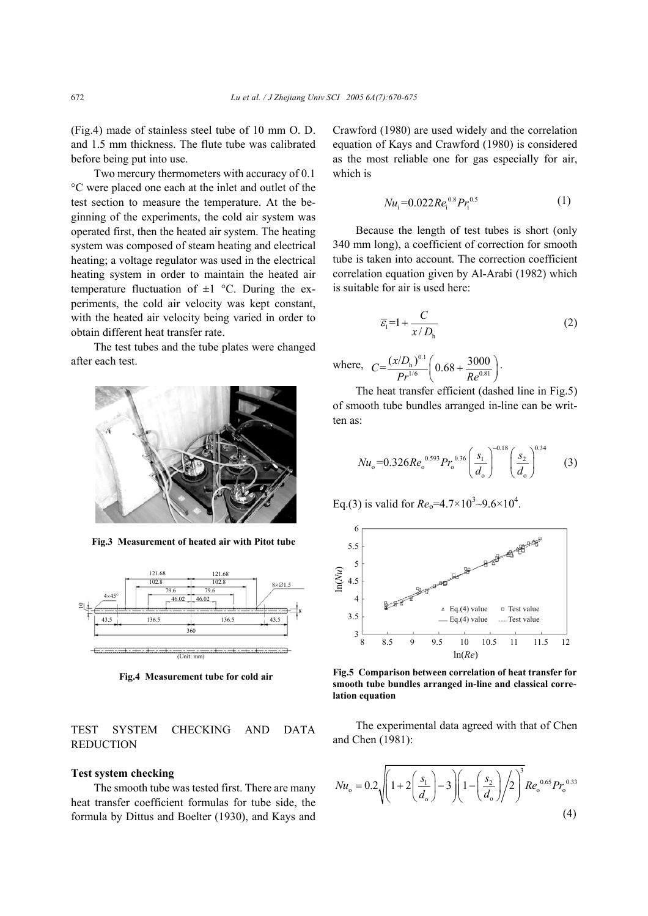(Fig.4) made of stainless steel tube of 10 mm O. D. and 1.5 mm thickness. The flute tube was calibrated before being put into use.

Two mercury thermometers with accuracy of 0.1 °C were placed one each at the inlet and outlet of the test section to measure the temperature. At the beginning of the experiments, the cold air system was operated first, then the heated air system. The heating system was composed of steam heating and electrical heating; a voltage regulator was used in the electrical heating system in order to maintain the heated air temperature fluctuation of  $\pm 1$  °C. During the experiments, the cold air velocity was kept constant, with the heated air velocity being varied in order to obtain different heat transfer rate.

The test tubes and the tube plates were changed after each test.



**Fig.3 Measurement of heated air with Pitot tube** 



**Fig.4 Measurement tube for cold air**

# TEST SYSTEM CHECKING AND DATA REDUCTION

### **Test system checking**

The smooth tube was tested first. There are many heat transfer coefficient formulas for tube side, the formula by Dittus and Boelter (1930), and Kays and Crawford (1980) are used widely and the correlation equation of Kays and Crawford (1980) is considered as the most reliable one for gas especially for air, which is

$$
Nu_{i} = 0.022Re_{i}^{0.8}Pr_{i}^{0.5}
$$
 (1)

Because the length of test tubes is short (only 340 mm long), a coefficient of correction for smooth tube is taken into account. The correction coefficient correlation equation given by Al-Arabi (1982) which is suitable for air is used here:

$$
\overline{\varepsilon}_{1} = 1 + \frac{C}{x/D_{h}}
$$
 (2)

where, 
$$
C = \frac{(x/D_h)^{0.1}}{Pr^{1/6}} \left( 0.68 + \frac{3000}{Re^{0.81}} \right)
$$
.

The heat transfer efficient (dashed line in Fig.5) of smooth tube bundles arranged in-line can be written as:

$$
Nu_{o} = 0.326Re_{o}^{0.593}Pr_{o}^{0.36} \left(\frac{s_{1}}{d_{o}}\right)^{-0.18} \left(\frac{s_{2}}{d_{o}}\right)^{0.34} \tag{3}
$$

Eq.(3) is valid for  $Re_0 = 4.7 \times 10^3 \sim 9.6 \times 10^4$ .



**Fig.5 Comparison between correlation of heat transfer for smooth tube bundles arranged in-line and classical correlation equation**

The experimental data agreed with that of Chen and Chen (1981):

$$
Nu_{o} = 0.2\sqrt{\left(1 + 2\left(\frac{s_{1}}{d_{o}}\right) - 3\right)\left(1 - \left(\frac{s_{2}}{d_{o}}\right)\right/2\right)^{3}}Re_{o}^{0.65}Pr_{o}^{0.33}
$$
\n(4)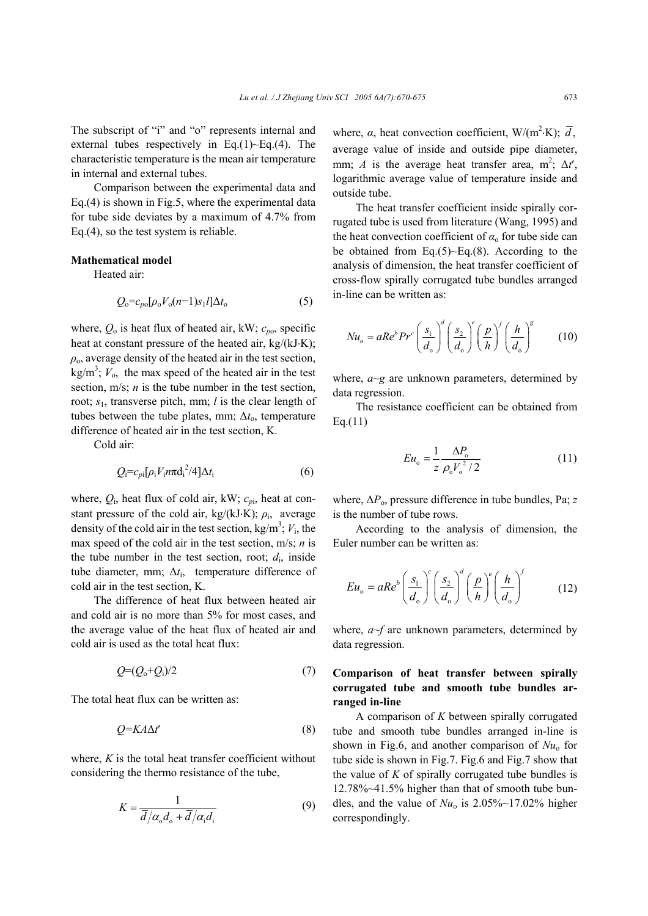The subscript of "i" and "o" represents internal and external tubes respectively in Eq.(1) $\sim$ Eq.(4). The characteristic temperature is the mean air temperature in internal and external tubes.

Comparison between the experimental data and Eq.(4) is shown in Fig.5, where the experimental data for tube side deviates by a maximum of 4.7% from Eq.(4), so the test system is reliable.

#### **Mathematical model**

Heated air:

$$
Q_0 = c_{p0} [\rho_0 V_0 (n-1) s_1 l] \Delta t_0 \tag{5}
$$

where,  $Q_0$  is heat flux of heated air, kW;  $c_{po}$ , specific heat at constant pressure of the heated air, kg/(kJ⋅K);  $\rho$ <sub>o</sub>, average density of the heated air in the test section,  $kg/m<sup>3</sup>$ ;  $V<sub>o</sub>$ , the max speed of the heated air in the test section, m/s; *n* is the tube number in the test section, root; *s*1, transverse pitch, mm; *l* is the clear length of tubes between the tube plates, mm; Δt<sub>o</sub>, temperature difference of heated air in the test section, K.

Cold air:

$$
Q_i = c_{pi}[\rho_i V_i n \pi d_i^2 / 4] \Delta t_i
$$
 (6)

where,  $Q_i$ , heat flux of cold air, kW;  $c_{pi}$ , heat at constant pressure of the cold air, kg/(kJ⋅K);  $\rho_i$ , average density of the cold air in the test section,  $kg/m^3$ ;  $V_i$ , the max speed of the cold air in the test section, m/s; *n* is the tube number in the test section, root;  $d_i$ , inside tube diameter, mm; ∆*t*i, temperature difference of cold air in the test section, K.

The difference of heat flux between heated air and cold air is no more than 5% for most cases, and the average value of the heat flux of heated air and cold air is used as the total heat flux:

$$
Q=(Q_0+Q_1)/2 \tag{7}
$$

The total heat flux can be written as:

$$
Q = K A \Delta t' \tag{8}
$$

where, *K* is the total heat transfer coefficient without considering the thermo resistance of the tube,

$$
K = \frac{1}{\overline{d}/\alpha_{\rm o} d_{\rm o} + \overline{d}/\alpha_{\rm i} d_{\rm i}}\tag{9}
$$

where,  $\alpha$ , heat convection coefficient, W/(m<sup>2</sup>·K);  $\overline{d}$ , average value of inside and outside pipe diameter, mm; *A* is the average heat transfer area, m<sup>2</sup>;  $\Delta t'$ , logarithmic average value of temperature inside and outside tube.

The heat transfer coefficient inside spirally corrugated tube is used from literature (Wang, 1995) and the heat convection coefficient of  $\alpha_0$  for tube side can be obtained from Eq. $(5)$ ~Eq. $(8)$ . According to the analysis of dimension, the heat transfer coefficient of cross-flow spirally corrugated tube bundles arranged in-line can be written as:

$$
Nu_{o} = aRe^{b}Pr^{c}\left(\frac{s_{1}}{d_{o}}\right)^{d}\left(\frac{s_{2}}{d_{o}}\right)^{e}\left(\frac{p}{h}\right)^{f}\left(\frac{h}{d_{o}}\right)^{g}
$$
 (10)

where,  $a \sim g$  are unknown parameters, determined by data regression.

The resistance coefficient can be obtained from Eq.(11)

$$
Eu_{o} = \frac{1}{z} \frac{\Delta P_{o}}{\rho_{o} V_{o}^{2} / 2}
$$
 (11)

where, ∆*P*o, pressure difference in tube bundles, Pa; *z*  is the number of tube rows.

According to the analysis of dimension, the Euler number can be written as:

$$
Eu_{o} = aRe^{b} \left(\frac{s_{1}}{d_{o}}\right)^{c} \left(\frac{s_{2}}{d_{o}}\right)^{d} \left(\frac{p}{h}\right)^{e} \left(\frac{h}{d_{o}}\right)^{f}
$$
 (12)

where, *a*~*f* are unknown parameters, determined by data regression.

# **Comparison of heat transfer between spirally corrugated tube and smooth tube bundles arranged in-line**

A comparison of *K* between spirally corrugated tube and smooth tube bundles arranged in-line is shown in Fig.6, and another comparison of *Nu*o for tube side is shown in Fig.7. Fig.6 and Fig.7 show that the value of  $K$  of spirally corrugated tube bundles is 12.78%~41.5% higher than that of smooth tube bundles, and the value of  $Nu<sub>o</sub>$  is  $2.05\%$ ~17.02% higher correspondingly.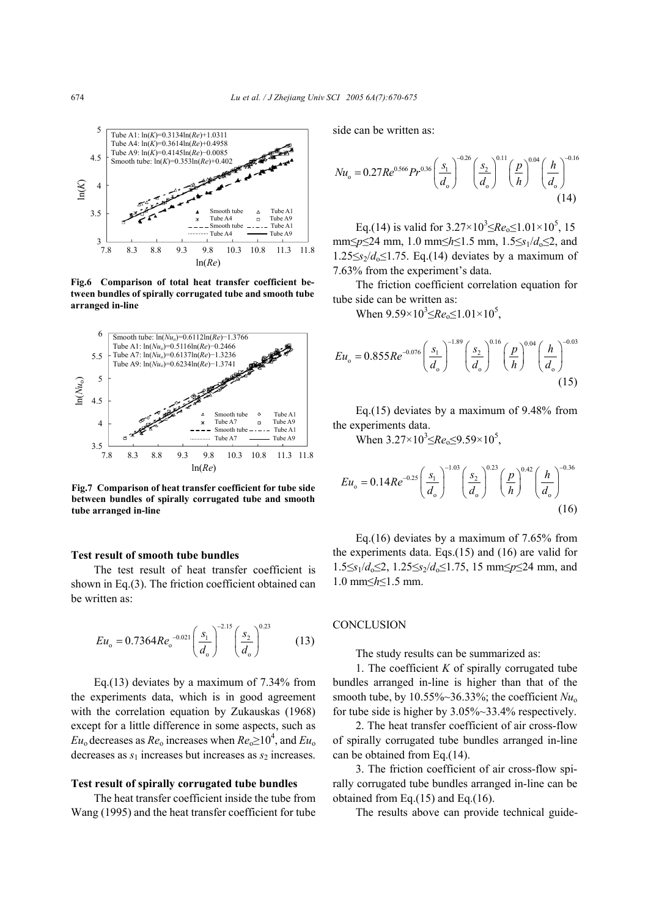

**Fig.6 Comparison of total heat transfer coefficient between bundles of spirally corrugated tube and smooth tube arranged in-line**



**Fig.7 Comparison of heat transfer coefficient for tube side between bundles of spirally corrugated tube and smooth tube arranged in-line**

#### **Test result of smooth tube bundles**

The test result of heat transfer coefficient is shown in Eq.(3). The friction coefficient obtained can be written as:

$$
Eu_{o} = 0.7364Re_{o}^{-0.021} \left(\frac{s_{1}}{d_{o}}\right)^{-2.15} \left(\frac{s_{2}}{d_{o}}\right)^{0.23}
$$
 (13)

Eq.(13) deviates by a maximum of 7.34% from the experiments data, which is in good agreement with the correlation equation by Zukauskas (1968) except for a little difference in some aspects, such as  $Eu_0$  decreases as  $Re_0$  increases when  $Re_0 \ge 10^4$ , and  $Eu_0$ decreases as  $s_1$  increases but increases as  $s_2$  increases.

#### **Test result of spirally corrugated tube bundles**

The heat transfer coefficient inside the tube from Wang (1995) and the heat transfer coefficient for tube side can be written as:

$$
Nu_{o} = 0.27Re^{0.566}Pr^{0.36}\left(\frac{s_{1}}{d_{o}}\right)^{-0.26}\left(\frac{s_{2}}{d_{o}}\right)^{0.11}\left(\frac{p}{h}\right)^{0.04}\left(\frac{h}{d_{o}}\right)^{-0.16}\tag{14}
$$

Eq.(14) is valid for  $3.27 \times 10^3 \leq Re_0 \leq 1.01 \times 10^5$ , 15 mm≤*p*≤24 mm, 1.0 mm≤*h*≤1.5 mm, 1.5≤*s*<sub>1</sub>/*d*<sub>0</sub>≤2, and  $1.25 \leq s_2/d_0 \leq 1.75$ . Eq.(14) deviates by a maximum of 7.63% from the experiment's data.

The friction coefficient correlation equation for tube side can be written as:

When  $9.59 \times 10^3 \leq Re_0 \leq 1.01 \times 10^5$ ,

$$
Eu_{o} = 0.855Re^{-0.076} \left(\frac{s_{1}}{d_{o}}\right)^{-1.89} \left(\frac{s_{2}}{d_{o}}\right)^{0.16} \left(\frac{p}{h}\right)^{0.04} \left(\frac{h}{d_{o}}\right)^{-0.03} \tag{15}
$$

Eq.(15) deviates by a maximum of 9.48% from the experiments data.

When  $3.27 \times 10^3 \leq Re_0 \leq 9.59 \times 10^5$ ,

$$
Eu_{o} = 0.14Re^{-0.25} \left(\frac{s_{1}}{d_{o}}\right)^{-1.03} \left(\frac{s_{2}}{d_{o}}\right)^{0.23} \left(\frac{p}{h}\right)^{0.42} \left(\frac{h}{d_{o}}\right)^{-0.36}
$$
\n(16)

Eq.(16) deviates by a maximum of 7.65% from the experiments data. Eqs.(15) and (16) are valid for 1.5≤*s*1/*d*o≤2, 1.25≤*s*2/*d*o≤1.75, 15 mm≤*p*≤24 mm, and 1.0 mm≤*h*≤1.5 mm.

### **CONCLUSION**

The study results can be summarized as:

1. The coefficient *K* of spirally corrugated tube bundles arranged in-line is higher than that of the smooth tube, by  $10.55\% \sim 36.33\%$ ; the coefficient  $Nu_0$ for tube side is higher by 3.05%~33.4% respectively.

2. The heat transfer coefficient of air cross-flow of spirally corrugated tube bundles arranged in-line can be obtained from Eq.(14).

3. The friction coefficient of air cross-flow spirally corrugated tube bundles arranged in-line can be obtained from Eq.(15) and Eq.(16).

The results above can provide technical guide-